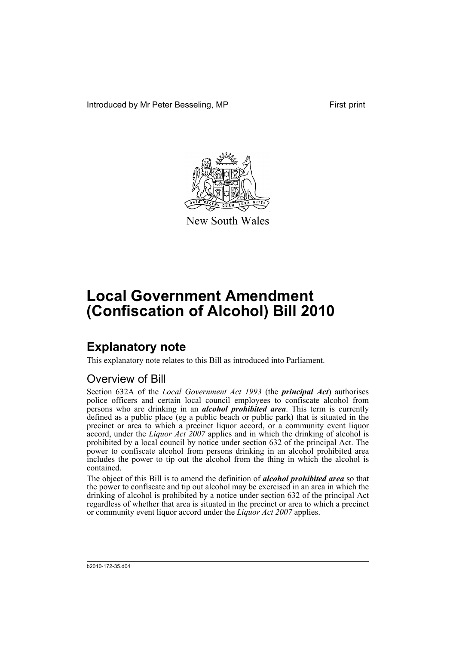Introduced by Mr Peter Besseling, MP First print



New South Wales

# **Local Government Amendment (Confiscation of Alcohol) Bill 2010**

## **Explanatory note**

This explanatory note relates to this Bill as introduced into Parliament.

#### Overview of Bill

Section 632A of the *Local Government Act 1993* (the *principal Act*) authorises police officers and certain local council employees to confiscate alcohol from persons who are drinking in an *alcohol prohibited area*. This term is currently defined as a public place (eg a public beach or public park) that is situated in the precinct or area to which a precinct liquor accord, or a community event liquor accord, under the *Liquor Act 2007* applies and in which the drinking of alcohol is prohibited by a local council by notice under section 632 of the principal Act. The power to confiscate alcohol from persons drinking in an alcohol prohibited area includes the power to tip out the alcohol from the thing in which the alcohol is contained.

The object of this Bill is to amend the definition of *alcohol prohibited area* so that the power to confiscate and tip out alcohol may be exercised in an area in which the drinking of alcohol is prohibited by a notice under section 632 of the principal Act regardless of whether that area is situated in the precinct or area to which a precinct or community event liquor accord under the *Liquor Act 2007* applies.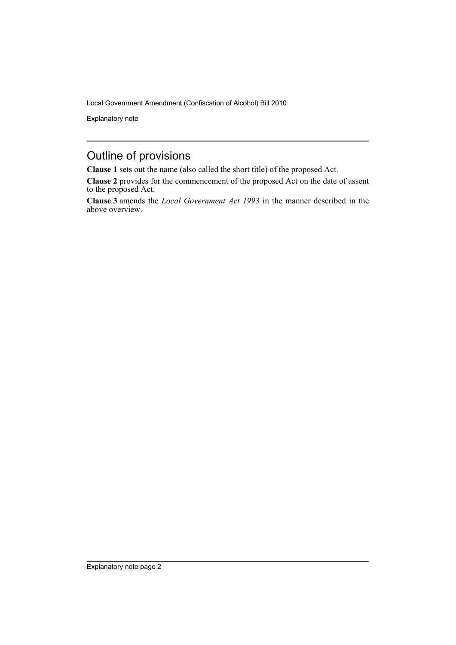Local Government Amendment (Confiscation of Alcohol) Bill 2010

Explanatory note

#### Outline of provisions

**Clause 1** sets out the name (also called the short title) of the proposed Act.

**Clause 2** provides for the commencement of the proposed Act on the date of assent to the proposed Act.

**Clause 3** amends the *Local Government Act 1993* in the manner described in the above overview.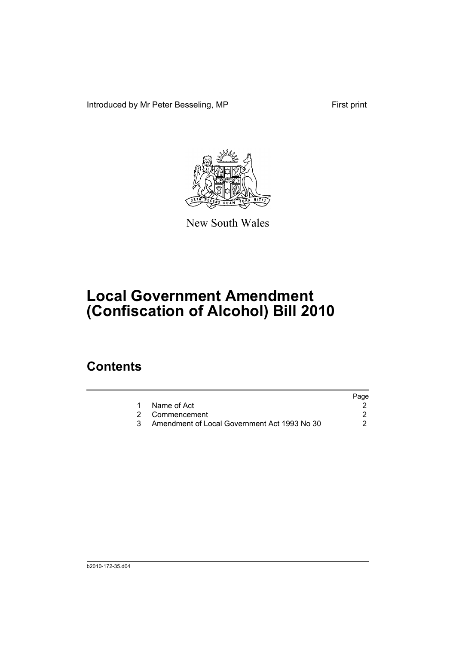Introduced by Mr Peter Besseling, MP First print



New South Wales

# **Local Government Amendment (Confiscation of Alcohol) Bill 2010**

### **Contents**

|                                              | Page |
|----------------------------------------------|------|
| 1 Name of Act                                |      |
| 2 Commencement                               |      |
| Amendment of Local Government Act 1993 No 30 |      |
|                                              |      |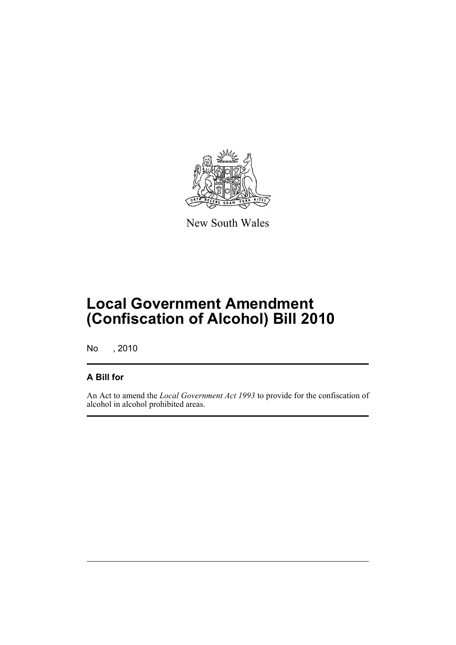

New South Wales

# **Local Government Amendment (Confiscation of Alcohol) Bill 2010**

No , 2010

#### **A Bill for**

An Act to amend the *Local Government Act 1993* to provide for the confiscation of alcohol in alcohol prohibited areas.